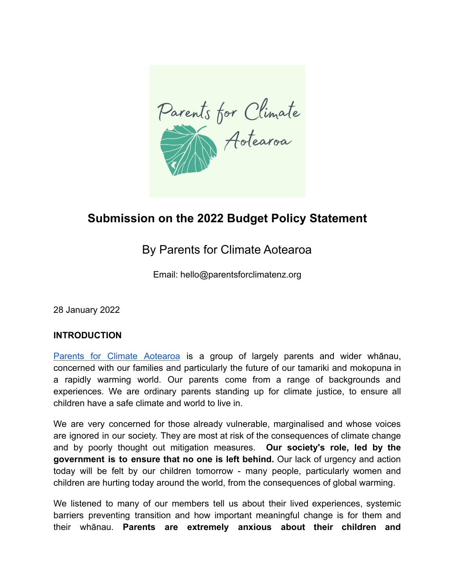Parents for Climate

# **Submission on the 2022 Budget Policy Statement**

# By Parents for Climate Aotearoa

Email: hello@parentsforclimatenz.org

28 January 2022

#### **INTRODUCTION**

Parents for Climate [Aotearoa](https://www.parentsforclimatenz.org/) is a group of largely parents and wider whānau, concerned with our families and particularly the future of our tamariki and mokopuna in a rapidly warming world. Our parents come from a range of backgrounds and experiences. We are ordinary parents standing up for climate justice, to ensure all children have a safe climate and world to live in.

We are very concerned for those already vulnerable, marginalised and whose voices are ignored in our society. They are most at risk of the consequences of climate change and by poorly thought out mitigation measures. **Our society's role, led by the government is to ensure that no one is left behind.** Our lack of urgency and action today will be felt by our children tomorrow - many people, particularly women and children are hurting today around the world, from the consequences of global warming.

We listened to many of our members tell us about their lived experiences, systemic barriers preventing transition and how important meaningful change is for them and their whānau. **Parents are extremely anxious about their children and**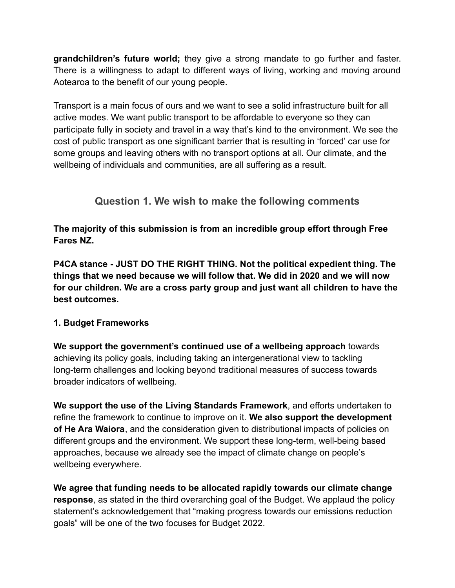**grandchildren's future world;** they give a strong mandate to go further and faster. There is a willingness to adapt to different ways of living, working and moving around Aotearoa to the benefit of our young people.

Transport is a main focus of ours and we want to see a solid infrastructure built for all active modes. We want public transport to be affordable to everyone so they can participate fully in society and travel in a way that's kind to the environment. We see the cost of public transport as one significant barrier that is resulting in 'forced' car use for some groups and leaving others with no transport options at all. Our climate, and the wellbeing of individuals and communities, are all suffering as a result.

# **Question 1. We wish to make the following comments**

**The majority of this submission is from an incredible group effort through Free Fares NZ.**

**P4CA stance - JUST DO THE RIGHT THING. Not the political expedient thing. The things that we need because we will follow that. We did in 2020 and we will now for our children. We are a cross party group and just want all children to have the best outcomes.**

#### **1. Budget Frameworks**

**We support the government's continued use of a wellbeing approach** towards achieving its policy goals, including taking an intergenerational view to tackling long-term challenges and looking beyond traditional measures of success towards broader indicators of wellbeing.

**We support the use of the Living Standards Framework**, and efforts undertaken to refine the framework to continue to improve on it. **We also support the development of He Ara Waiora**, and the consideration given to distributional impacts of policies on different groups and the environment. We support these long-term, well-being based approaches, because we already see the impact of climate change on people's wellbeing everywhere.

**We agree that funding needs to be allocated rapidly towards our climate change response**, as stated in the third overarching goal of the Budget. We applaud the policy statement's acknowledgement that "making progress towards our emissions reduction goals" will be one of the two focuses for Budget 2022.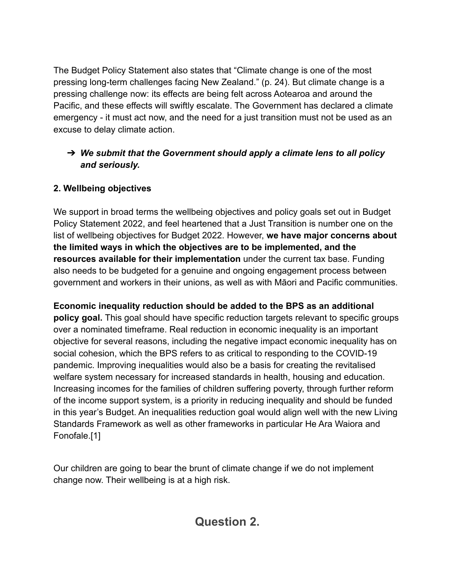The Budget Policy Statement also states that "Climate change is one of the most pressing long-term challenges facing New Zealand." (p. 24). But climate change is a pressing challenge now: its effects are being felt across Aotearoa and around the Pacific, and these effects will swiftly escalate. The Government has declared a climate emergency - it must act now, and the need for a just transition must not be used as an excuse to delay climate action.

## ➔ *We submit that the Government should apply a climate lens to all policy and seriously.*

## **2. Wellbeing objectives**

We support in broad terms the wellbeing objectives and policy goals set out in Budget Policy Statement 2022, and feel heartened that a Just Transition is number one on the list of wellbeing objectives for Budget 2022. However, **we have major concerns about the limited ways in which the objectives are to be implemented, and the resources available for their implementation** under the current tax base. Funding also needs to be budgeted for a genuine and ongoing engagement process between government and workers in their unions, as well as with Māori and Pacific communities.

**Economic inequality reduction should be added to the BPS as an additional policy goal.** This goal should have specific reduction targets relevant to specific groups over a nominated timeframe. Real reduction in economic inequality is an important objective for several reasons, including the negative impact economic inequality has on social cohesion, which the BPS refers to as critical to responding to the COVID-19 pandemic. Improving inequalities would also be a basis for creating the revitalised welfare system necessary for increased standards in health, housing and education. Increasing incomes for the families of children suffering poverty, through further reform of the income support system, is a priority in reducing inequality and should be funded in this year's Budget. An inequalities reduction goal would align well with the new Living Standards Framework as well as other frameworks in particular He Ara Waiora and Fonofale.[1]

Our children are going to bear the brunt of climate change if we do not implement change now. Their wellbeing is at a high risk.

**Question 2.**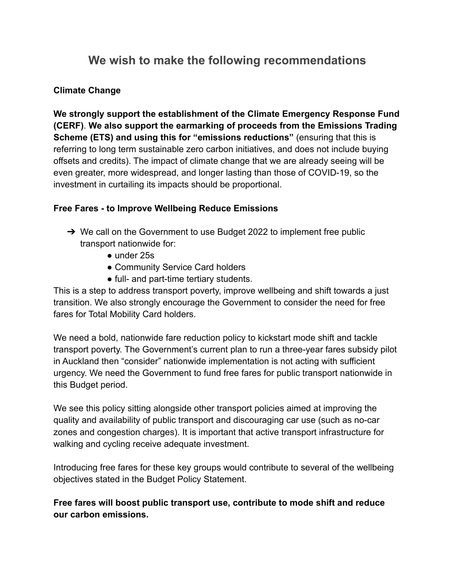# **We wish to make the following recommendations**

## **Climate Change**

**We strongly support the establishment of the Climate Emergency Response Fund (CERF)**. **We also support the earmarking of proceeds from the Emissions Trading Scheme (ETS) and using this for "emissions reductions"** (ensuring that this is referring to long term sustainable zero carbon initiatives, and does not include buying offsets and credits). The impact of climate change that we are already seeing will be even greater, more widespread, and longer lasting than those of COVID-19, so the investment in curtailing its impacts should be proportional.

### **Free Fares - to Improve Wellbeing Reduce Emissions**

- ➔ We call on the Government to use Budget 2022 to implement free public transport nationwide for:
	- under 25s
	- Community Service Card holders
	- full- and part-time tertiary students.

This is a step to address transport poverty, improve wellbeing and shift towards a just transition. We also strongly encourage the Government to consider the need for free fares for Total Mobility Card holders.

We need a bold, nationwide fare reduction policy to kickstart mode shift and tackle transport poverty. The Government's current plan to run a three-year fares subsidy pilot in Auckland then "consider" nationwide implementation is not acting with sufficient urgency. We need the Government to fund free fares for public transport nationwide in this Budget period.

We see this policy sitting alongside other transport policies aimed at improving the quality and availability of public transport and discouraging car use (such as no-car zones and congestion charges). It is important that active transport infrastructure for walking and cycling receive adequate investment.

Introducing free fares for these key groups would contribute to several of the wellbeing objectives stated in the Budget Policy Statement.

**Free fares will boost public transport use, contribute to mode shift and reduce our carbon emissions.**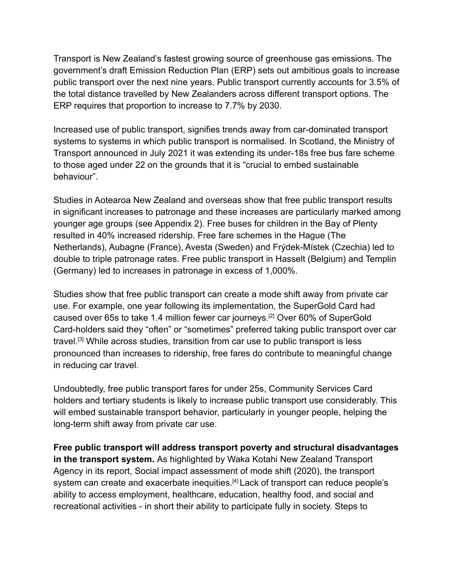Transport is New Zealand's fastest growing source of greenhouse gas emissions. The government's draft Emission Reduction Plan (ERP) sets out ambitious goals to increase public transport over the next nine years. Public transport currently accounts for 3.5% of the total distance travelled by New Zealanders across different transport options. The ERP requires that proportion to increase to 7.7% by 2030.

Increased use of public transport, signifies trends away from car-dominated transport systems to systems in which public transport is normalised. In Scotland, the Ministry of Transport announced in July 2021 it was extending its under-18s free bus fare scheme to those aged under 22 on the grounds that it is "crucial to embed sustainable behaviour".

Studies in Aotearoa New Zealand and overseas show that free public transport results in significant increases to patronage and these increases are particularly marked among younger age groups (see Appendix 2). Free buses for children in the Bay of Plenty resulted in 40% increased ridership. Free fare schemes in the Hague (The Netherlands), Aubagne (France), Avesta (Sweden) and Frýdek-Místek (Czechia) led to double to triple patronage rates. Free public transport in Hasselt (Belgium) and Templin (Germany) led to increases in patronage in excess of 1,000%.

Studies show that free public transport can create a mode shift away from private car use. For example, one year following its implementation, the SuperGold Card had caused over 65s to take 1.4 million fewer car journeys.[2] Over 60% of SuperGold Card-holders said they "often" or "sometimes" preferred taking public transport over car travel.[3] While across studies, transition from car use to public transport is less pronounced than increases to ridership, free fares do contribute to meaningful change in reducing car travel.

Undoubtedly, free public transport fares for under 25s, Community Services Card holders and tertiary students is likely to increase public transport use considerably. This will embed sustainable transport behavior, particularly in younger people, helping the long-term shift away from private car use.

**Free public transport will address transport poverty and structural disadvantages in the transport system.** As highlighted by Waka Kotahi New Zealand Transport Agency in its report, Social impact assessment of mode shift (2020), the transport system can create and exacerbate inequities.<sup>[4]</sup> Lack of transport can reduce people's ability to access employment, healthcare, education, healthy food, and social and recreational activities - in short their ability to participate fully in society. Steps to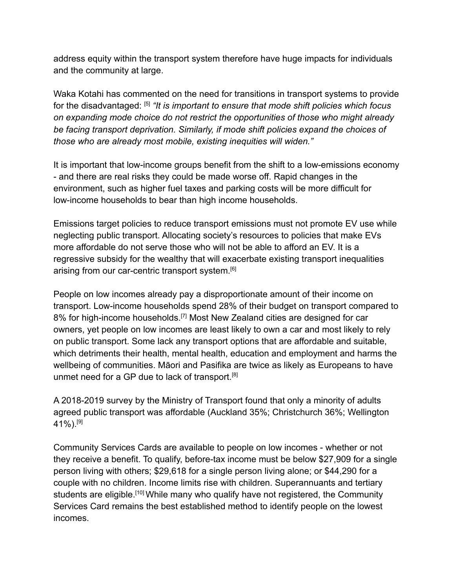address equity within the transport system therefore have huge impacts for individuals and the community at large.

Waka Kotahi has commented on the need for transitions in transport systems to provide for the disadvantaged: [5] *"It is important to ensure that mode shift policies which focus on expanding mode choice do not restrict the opportunities of those who might already be facing transport deprivation. Similarly, if mode shift policies expand the choices of those who are already most mobile, existing inequities will widen."*

It is important that low-income groups benefit from the shift to a low-emissions economy - and there are real risks they could be made worse off. Rapid changes in the environment, such as higher fuel taxes and parking costs will be more difficult for low-income households to bear than high income households.

Emissions target policies to reduce transport emissions must not promote EV use while neglecting public transport. Allocating society's resources to policies that make EVs more affordable do not serve those who will not be able to afford an EV. It is a regressive subsidy for the wealthy that will exacerbate existing transport inequalities arising from our car-centric transport system.<sup>[6]</sup>

People on low incomes already pay a disproportionate amount of their income on transport. Low-income households spend 28% of their budget on transport compared to 8% for high-income households.<sup>[7]</sup> Most New Zealand cities are designed for car owners, yet people on low incomes are least likely to own a car and most likely to rely on public transport. Some lack any transport options that are affordable and suitable, which detriments their health, mental health, education and employment and harms the wellbeing of communities. Māori and Pasifika are twice as likely as Europeans to have unmet need for a GP due to lack of transport.<sup>[8]</sup>

A 2018-2019 survey by the Ministry of Transport found that only a minority of adults agreed public transport was affordable (Auckland 35%; Christchurch 36%; Wellington 41%).[9]

Community Services Cards are available to people on low incomes - whether or not they receive a benefit. To qualify, before-tax income must be below \$27,909 for a single person living with others; \$29,618 for a single person living alone; or \$44,290 for a couple with no children. Income limits rise with children. Superannuants and tertiary students are eligible.<sup>[10]</sup> While many who qualify have not registered, the Community Services Card remains the best established method to identify people on the lowest incomes.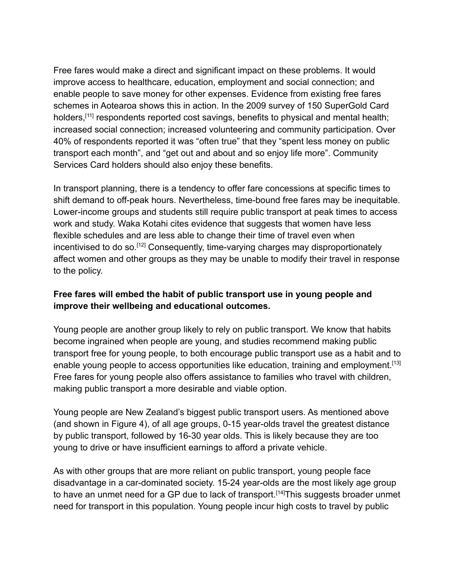Free fares would make a direct and significant impact on these problems. It would improve access to healthcare, education, employment and social connection; and enable people to save money for other expenses. Evidence from existing free fares schemes in Aotearoa shows this in action. In the 2009 survey of 150 SuperGold Card holders,<sup>[11]</sup> respondents reported cost savings, benefits to physical and mental health; increased social connection; increased volunteering and community participation. Over 40% of respondents reported it was "often true" that they "spent less money on public transport each month", and "get out and about and so enjoy life more". Community Services Card holders should also enjoy these benefits.

In transport planning, there is a tendency to offer fare concessions at specific times to shift demand to off-peak hours. Nevertheless, time-bound free fares may be inequitable. Lower-income groups and students still require public transport at peak times to access work and study. Waka Kotahi cites evidence that suggests that women have less flexible schedules and are less able to change their time of travel even when incentivised to do so.<sup>[12]</sup> Consequently, time-varying charges may disproportionately affect women and other groups as they may be unable to modify their travel in response to the policy.

### **Free fares will embed the habit of public transport use in young people and improve their wellbeing and educational outcomes.**

Young people are another group likely to rely on public transport. We know that habits become ingrained when people are young, and studies recommend making public transport free for young people, to both encourage public transport use as a habit and to enable young people to access opportunities like education, training and employment.<sup>[13]</sup> Free fares for young people also offers assistance to families who travel with children, making public transport a more desirable and viable option.

Young people are New Zealand's biggest public transport users. As mentioned above (and shown in Figure 4), of all age groups, 0-15 year-olds travel the greatest distance by public transport, followed by 16-30 year olds. This is likely because they are too young to drive or have insufficient earnings to afford a private vehicle.

As with other groups that are more reliant on public transport, young people face disadvantage in a car-dominated society. 15-24 year-olds are the most likely age group to have an unmet need for a GP due to lack of transport.<sup>[14]</sup>This suggests broader unmet need for transport in this population. Young people incur high costs to travel by public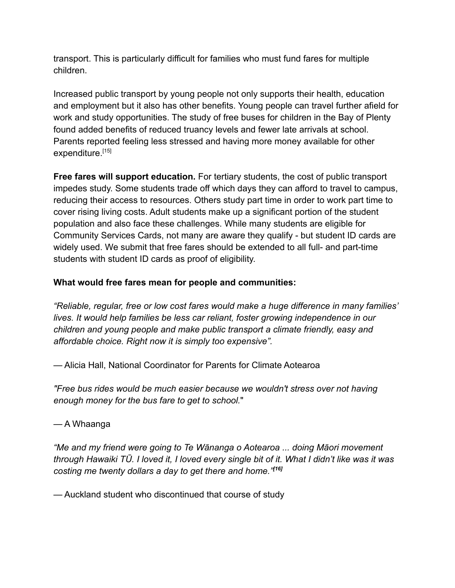transport. This is particularly difficult for families who must fund fares for multiple children.

Increased public transport by young people not only supports their health, education and employment but it also has other benefits. Young people can travel further afield for work and study opportunities. The study of free buses for children in the Bay of Plenty found added benefits of reduced truancy levels and fewer late arrivals at school. Parents reported feeling less stressed and having more money available for other expenditure.<sup>[15]</sup>

**Free fares will support education.** For tertiary students, the cost of public transport impedes study. Some students trade off which days they can afford to travel to campus, reducing their access to resources. Others study part time in order to work part time to cover rising living costs. Adult students make up a significant portion of the student population and also face these challenges. While many students are eligible for Community Services Cards, not many are aware they qualify - but student ID cards are widely used. We submit that free fares should be extended to all full- and part-time students with student ID cards as proof of eligibility.

### **What would free fares mean for people and communities:**

*"Reliable, regular, free or low cost fares would make a huge difference in many families' lives. It would help families be less car reliant, foster growing independence in our children and young people and make public transport a climate friendly, easy and affordable choice. Right now it is simply too expensive".*

— Alicia Hall, National Coordinator for Parents for Climate Aotearoa

*"Free bus rides would be much easier because we wouldn't stress over not having enough money for the bus fare to get to school.*"

#### — A Whaanga

*"Me and my friend were going to Te Wānanga o Aotearoa ... doing Māori movement through Hawaiki TŪ. I loved it, I loved every single bit of it. What I didn't like was it was costing me twenty dollars a day to get there and home."[16]*

— Auckland student who discontinued that course of study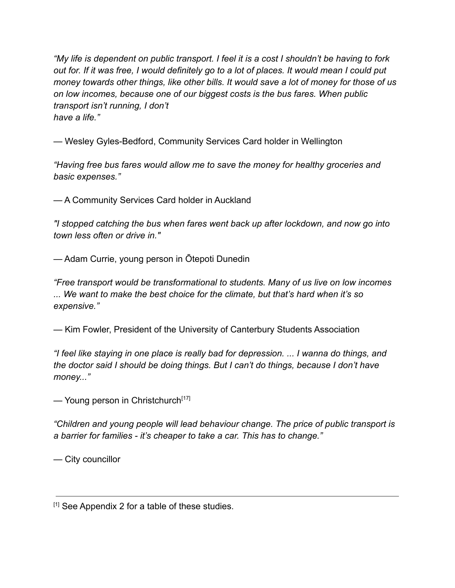*"My life is dependent on public transport. I feel it is a cost I shouldn't be having to fork out for. If it was free, I would definitely go to a lot of places. It would mean I could put money towards other things, like other bills. It would save a lot of money for those of us on low incomes, because one of our biggest costs is the bus fares. When public transport isn't running, I don't have a life."*

— Wesley Gyles-Bedford, Community Services Card holder in Wellington

*"Having free bus fares would allow me to save the money for healthy groceries and basic expenses."*

— A Community Services Card holder in Auckland

*"I stopped catching the bus when fares went back up after lockdown, and now go into town less often or drive in."*

— Adam Currie, young person in Ōtepoti Dunedin

*"Free transport would be transformational to students. Many of us live on low incomes ... We want to make the best choice for the climate, but that's hard when it's so expensive."*

— Kim Fowler, President of the University of Canterbury Students Association

*"I feel like staying in one place is really bad for depression. ... I wanna do things, and the doctor said I should be doing things. But I can't do things, because I don't have money..."*

— Young person in Christchurch<sup>[17]</sup>

*"Children and young people will lead behaviour change. The price of public transport is a barrier for families - it's cheaper to take a car. This has to change."*

— City councillor

<sup>[1]</sup> See Appendix 2 for a table of these studies.